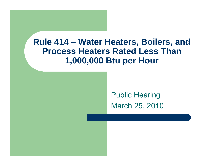#### **Rule 414 – Water Heaters, Boilers, and Process Heaters Rated Less Than 1,000,000 Btu per Hour**

Public Hearing March 25, 2010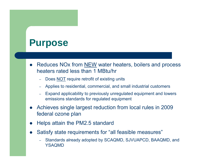#### **Purpose**

- $\bullet$ • Reduces NOx from **NEW** water heaters, boilers and process heaters rated less than 1 MBtu/hr
	- Does <u>NOT</u> require retrofit of existing units
	- Applies to residential, commercial, and small industrial customers
	- Expand applicability to previously unregulated equipment and lowers emissions standards for regulated equipment
- $\bullet$  Achieves single largest reduction from local rules in 2009 federal ozone plan
- $\bullet$ Helps attain the PM2.5 standard
- $\bullet$  Satisfy state requirements for "all feasible measures"
	- – Standards already adopted by SCAQMD, SJVUAPCD, BAAQMD, and YSAQMD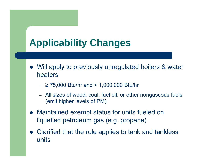# **Applicability Changes**

- Will apply to previously unregulated boilers & water heaters
	- ≥ 75,000 Btu/hr and < 1,000,000 Btu/hr
	- – All sizes of wood, coal, fuel oil, or other nongaseous fuels (emit higher levels of PM)
- Maintained exempt status for units fueled on liquefied petroleum gas (e.g. propane)
- $\bullet$  Clarified that the rule applies to tank and tankless units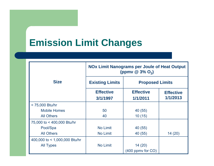## **Emission Limit Changes**

|                               | <b>NOx Limit Nanograms per Joule of Heat Output</b><br>(ppmv $\circledcirc$ 3% O <sub>2</sub> ) |                              |                              |
|-------------------------------|-------------------------------------------------------------------------------------------------|------------------------------|------------------------------|
| <b>Size</b>                   | <b>Existing Limits</b>                                                                          | <b>Proposed Limits</b>       |                              |
|                               | <b>Effective</b><br>3/1/1997                                                                    | <b>Effective</b><br>1/1/2011 | <b>Effective</b><br>1/1/2013 |
| < 75,000 Btu/hr               |                                                                                                 |                              |                              |
| <b>Mobile Homes</b>           | 50                                                                                              | 40 (55)                      |                              |
| <b>All Others</b>             | 40                                                                                              | 10(15)                       |                              |
| 75,000 to < 400,000 Btu/hr    |                                                                                                 |                              |                              |
| Pool/Spa                      | <b>No Limit</b>                                                                                 | 40 (55)                      |                              |
| <b>All Others</b>             | No Limit                                                                                        | 40 (55)                      | 14(20)                       |
| 400,000 to < 1,000,000 Btu/hr |                                                                                                 |                              |                              |
| <b>All Types</b>              | <b>No Limit</b>                                                                                 | 14(20)                       |                              |
|                               |                                                                                                 | $(400$ ppmy for $CO$ )       |                              |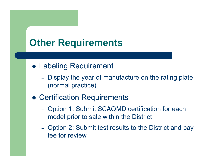### **Other Requirements**

- **Labeling Requirement** 
	- –- Display the year of manufacture on the rating plate (normal practice)
- **Certification Requirements** 
	- –- Option 1: Submit SCAQMD certification for each model prior to sale within the District
	- –- Option 2: Submit test results to the District and pay fee for review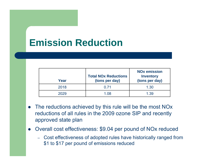# **Emission Reduction**

| Year | <b>Total NOx Reductions</b><br>(tons per day) | <b>NO<sub>x</sub></b> emission<br><b>Inventory</b><br>(tons per day) |
|------|-----------------------------------------------|----------------------------------------------------------------------|
| 2018 | 0 71                                          | 1.30                                                                 |
| 2029 | 1.08                                          | 1.39                                                                 |

- $\bullet$  The reductions achieved by this rule will be the most NOx reductions of all rules in the 2009 ozone SIP and recently approved state plan
- Overall cost effectiveness: \$9.04 per pound of NOx reduced
	- Cost effectiveness of adopted rules have historically ranged from \$1 to \$17 per pound of emissions reduced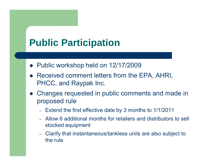# **Public Participation**

- Public workshop held on 12/17/2009
- Received comment letters from the EPA, AHRI, PHCC, and Raypak Inc.
- Changes requested in public comments and made in proposed rule
	- –Extend the first effective date by 3 months to 1/1/2011
	- Allow 6 additional months for retailers and distributors to sell stocked equipment
	- Clarify that instantaneous/tankless units are also subject to the rule